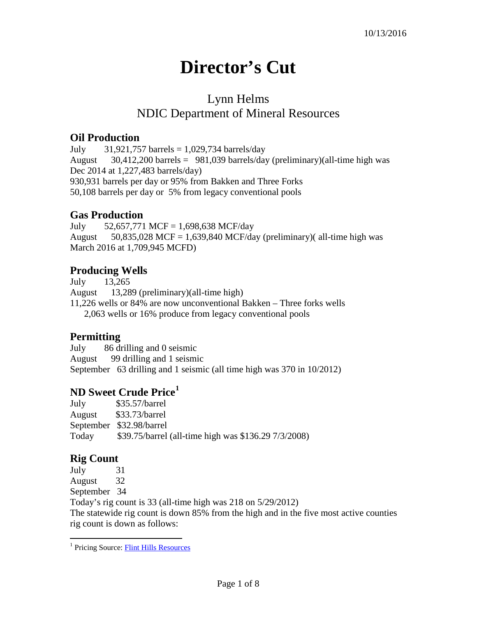# **Director's Cut**

## Lynn Helms NDIC Department of Mineral Resources

#### **Oil Production**

July  $31,921,757$  barrels  $= 1,029,734$  barrels/day August  $30,412,200$  barrels = 981,039 barrels/day (preliminary)(all-time high was Dec 2014 at 1,227,483 barrels/day) 930,931 barrels per day or 95% from Bakken and Three Forks 50,108 barrels per day or 5% from legacy conventional pools

#### **Gas Production**

July 52,657,771 MCF = 1,698,638 MCF/day August  $50,835,028$  MCF = 1,639,840 MCF/day (preliminary)( all-time high was March 2016 at 1,709,945 MCFD)

#### **Producing Wells**

July 13,265 August 13,289 (preliminary)(all-time high) 11,226 wells or 84% are now unconventional Bakken – Three forks wells 2,063 wells or 16% produce from legacy conventional pools

#### **Permitting**

July 86 drilling and 0 seismic August 99 drilling and 1 seismic September 63 drilling and 1 seismic (all time high was 370 in 10/2012)

#### **ND Sweet Crude Price[1](#page-0-0)**

July \$35.57/barrel August \$33.73/barrel September \$32.98/barrel Today \$39.75/barrel (all-time high was \$136.29 7/3/2008)

### **Rig Count**

July 31 August 32

September 34

 $\overline{a}$ 

Today's rig count is 33 (all-time high was 218 on 5/29/2012) The statewide rig count is down 85% from the high and in the five most active counties rig count is down as follows:

<span id="page-0-0"></span><sup>&</sup>lt;sup>1</sup> Pricing Source: **Flint Hills Resources**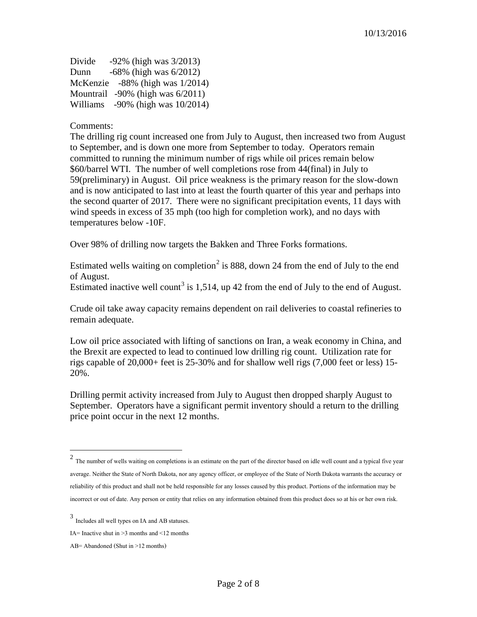| Divide | $-92\%$ (high was $3/2013$ )           |
|--------|----------------------------------------|
| Dunn   | $-68\%$ (high was $6/2012$ )           |
|        | McKenzie $-88\%$ (high was $1/2014$ )  |
|        | Mountrail $-90\%$ (high was $6/2011$ ) |
|        | Williams -90% (high was 10/2014)       |

#### Comments:

The drilling rig count increased one from July to August, then increased two from August to September, and is down one more from September to today. Operators remain committed to running the minimum number of rigs while oil prices remain below \$60/barrel WTI. The number of well completions rose from 44(final) in July to 59(preliminary) in August. Oil price weakness is the primary reason for the slow-down and is now anticipated to last into at least the fourth quarter of this year and perhaps into the second quarter of 2017. There were no significant precipitation events, 11 days with wind speeds in excess of 35 mph (too high for completion work), and no days with temperatures below -10F.

Over 98% of drilling now targets the Bakken and Three Forks formations.

Estimated wells waiting on completion<sup>[2](#page-1-0)</sup> is 888, down 24 from the end of July to the end of August.

Estimated inactive well count<sup>[3](#page-1-1)</sup> is 1,514, up 42 from the end of July to the end of August.

Crude oil take away capacity remains dependent on rail deliveries to coastal refineries to remain adequate.

Low oil price associated with lifting of sanctions on Iran, a weak economy in China, and the Brexit are expected to lead to continued low drilling rig count. Utilization rate for rigs capable of 20,000+ feet is 25-30% and for shallow well rigs (7,000 feet or less) 15- 20%.

Drilling permit activity increased from July to August then dropped sharply August to September. Operators have a significant permit inventory should a return to the drilling price point occur in the next 12 months.

 $\overline{a}$ 

<span id="page-1-0"></span> $2$  The number of wells waiting on completions is an estimate on the part of the director based on idle well count and a typical five year average. Neither the State of North Dakota, nor any agency officer, or employee of the State of North Dakota warrants the accuracy or reliability of this product and shall not be held responsible for any losses caused by this product. Portions of the information may be incorrect or out of date. Any person or entity that relies on any information obtained from this product does so at his or her own risk.

<span id="page-1-1"></span><sup>3</sup> Includes all well types on IA and AB statuses.

IA= Inactive shut in  $\geq$ 3 months and  $\leq$ 12 months

AB= Abandoned (Shut in >12 months)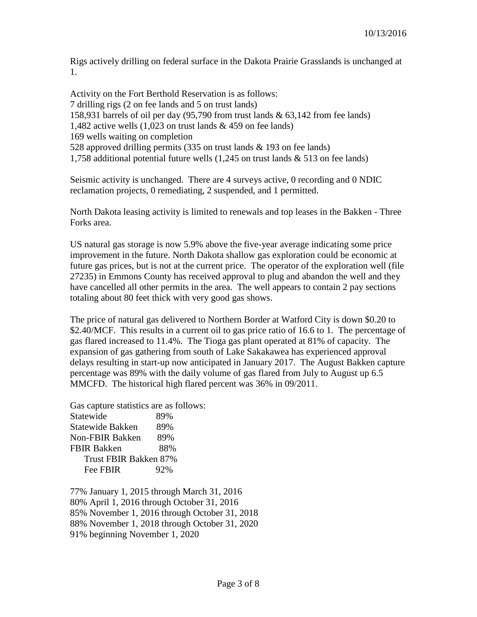Rigs actively drilling on federal surface in the Dakota Prairie Grasslands is unchanged at 1.

Activity on the Fort Berthold Reservation is as follows: 7 drilling rigs (2 on fee lands and 5 on trust lands) 158,931 barrels of oil per day (95,790 from trust lands & 63,142 from fee lands) 1,482 active wells (1,023 on trust lands & 459 on fee lands) 169 wells waiting on completion 528 approved drilling permits (335 on trust lands & 193 on fee lands) 1,758 additional potential future wells (1,245 on trust lands & 513 on fee lands)

Seismic activity is unchanged. There are 4 surveys active, 0 recording and 0 NDIC reclamation projects, 0 remediating, 2 suspended, and 1 permitted.

North Dakota leasing activity is limited to renewals and top leases in the Bakken - Three Forks area.

US natural gas storage is now 5.9% above the five-year average indicating some price improvement in the future. North Dakota shallow gas exploration could be economic at future gas prices, but is not at the current price. The operator of the exploration well (file 27235) in Emmons County has received approval to plug and abandon the well and they have cancelled all other permits in the area. The well appears to contain 2 pay sections totaling about 80 feet thick with very good gas shows.

The price of natural gas delivered to Northern Border at Watford City is down \$0.20 to \$2.40/MCF. This results in a current oil to gas price ratio of 16.6 to 1. The percentage of gas flared increased to 11.4%. The Tioga gas plant operated at 81% of capacity. The expansion of gas gathering from south of Lake Sakakawea has experienced approval delays resulting in start-up now anticipated in January 2017. The August Bakken capture percentage was 89% with the daily volume of gas flared from July to August up 6.5 MMCFD. The historical high flared percent was 36% in 09/2011.

Gas capture statistics are as follows:

Statewide 89% Statewide Bakken 89% Non-FBIR Bakken 89% FBIR Bakken 88% Trust FBIR Bakken 87% Fee FBIR 92%

77% January 1, 2015 through March 31, 2016 80% April 1, 2016 through October 31, 2016 85% November 1, 2016 through October 31, 2018 88% November 1, 2018 through October 31, 2020 91% beginning November 1, 2020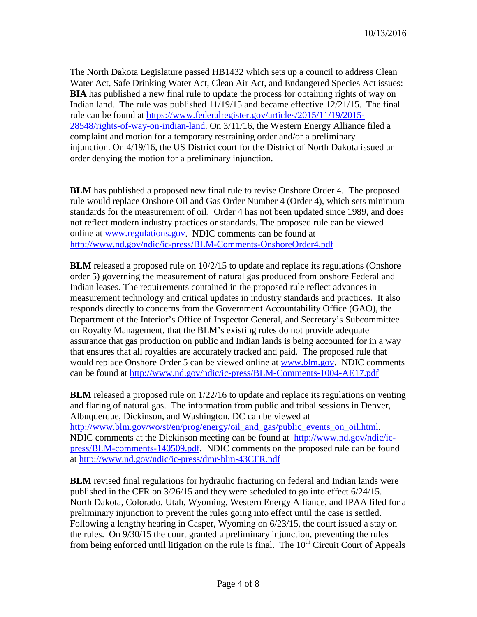The North Dakota Legislature passed HB1432 which sets up a council to address Clean Water Act, Safe Drinking Water Act, Clean Air Act, and Endangered Species Act issues: **BIA** has published a new final rule to update the process for obtaining rights of way on Indian land. The rule was published 11/19/15 and became effective 12/21/15. The final rule can be found at [https://www.federalregister.gov/articles/2015/11/19/2015-](https://www.federalregister.gov/articles/2015/11/19/2015-28548/rights-of-way-on-indian-land) [28548/rights-of-way-on-indian-land.](https://www.federalregister.gov/articles/2015/11/19/2015-28548/rights-of-way-on-indian-land) On 3/11/16, the Western Energy Alliance filed a complaint and motion for a temporary restraining order and/or a preliminary injunction. On 4/19/16, the US District court for the District of North Dakota issued an order denying the motion for a preliminary injunction.

**BLM** has published a proposed new final rule to revise Onshore Order 4. The proposed rule would replace Onshore Oil and Gas Order Number 4 (Order 4), which sets minimum standards for the measurement of oil. Order 4 has not been updated since 1989, and does not reflect modern industry practices or standards. The proposed rule can be viewed online at [www.regulations.gov.](http://www.regulations.gov/) NDIC comments can be found at <http://www.nd.gov/ndic/ic-press/BLM-Comments-OnshoreOrder4.pdf>

**BLM** released a proposed rule on  $10/2/15$  to update and replace its regulations (Onshore order 5) governing the measurement of natural gas produced from onshore Federal and Indian leases. The requirements contained in the proposed rule reflect advances in measurement technology and critical updates in industry standards and practices. It also responds directly to concerns from the Government Accountability Office (GAO), the Department of the Interior's Office of Inspector General, and Secretary's Subcommittee on Royalty Management, that the BLM's existing rules do not provide adequate assurance that gas production on public and Indian lands is being accounted for in a way that ensures that all royalties are accurately tracked and paid. The proposed rule that would replace Onshore Order 5 can be viewed online at [www.blm.gov.](http://www.blm.gov/) NDIC comments can be found at<http://www.nd.gov/ndic/ic-press/BLM-Comments-1004-AE17.pdf>

**BLM** released a proposed rule on  $1/22/16$  to update and replace its regulations on venting and flaring of natural gas. The information from public and tribal sessions in Denver, Albuquerque, Dickinson, and Washington, DC can be viewed at [http://www.blm.gov/wo/st/en/prog/energy/oil\\_and\\_gas/public\\_events\\_on\\_oil.html.](http://www.blm.gov/wo/st/en/prog/energy/oil_and_gas/public_events_on_oil.html) NDIC comments at the Dickinson meeting can be found at [http://www.nd.gov/ndic/ic](http://www.nd.gov/ndic/ic-press/BLM-comments-140509.pdf)[press/BLM-comments-140509.pdf.](http://www.nd.gov/ndic/ic-press/BLM-comments-140509.pdf) NDIC comments on the proposed rule can be found at<http://www.nd.gov/ndic/ic-press/dmr-blm-43CFR.pdf>

**BLM** revised final regulations for hydraulic fracturing on federal and Indian lands were published in the CFR on 3/26/15 and they were scheduled to go into effect 6/24/15. North Dakota, Colorado, Utah, Wyoming, Western Energy Alliance, and IPAA filed for a preliminary injunction to prevent the rules going into effect until the case is settled. Following a lengthy hearing in Casper, Wyoming on 6/23/15, the court issued a stay on the rules. On 9/30/15 the court granted a preliminary injunction, preventing the rules from being enforced until litigation on the rule is final. The  $10<sup>th</sup>$  Circuit Court of Appeals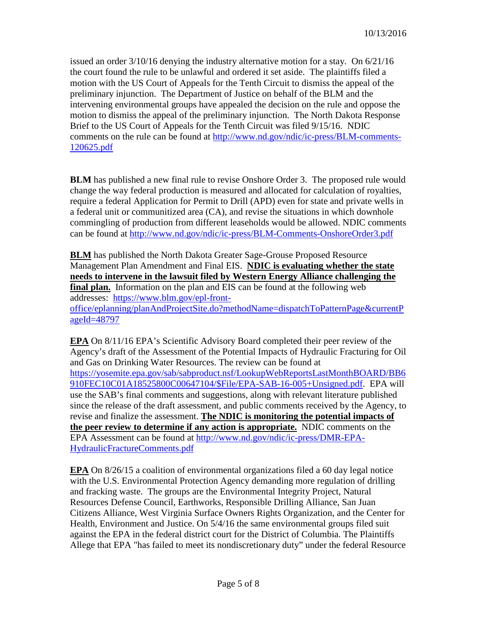issued an order  $3/10/16$  denying the industry alternative motion for a stay. On  $6/21/16$ the court found the rule to be unlawful and ordered it set aside. The plaintiffs filed a motion with the US Court of Appeals for the Tenth Circuit to dismiss the appeal of the preliminary injunction. The Department of Justice on behalf of the BLM and the intervening environmental groups have appealed the decision on the rule and oppose the motion to dismiss the appeal of the preliminary injunction. The North Dakota Response Brief to the US Court of Appeals for the Tenth Circuit was filed 9/15/16. NDIC comments on the rule can be found at [http://www.nd.gov/ndic/ic-press/BLM-comments-](http://www.nd.gov/ndic/ic-press/BLM-comments-120625.pdf)[120625.pdf](http://www.nd.gov/ndic/ic-press/BLM-comments-120625.pdf)

**BLM** has published a new final rule to revise Onshore Order 3. The proposed rule would change the way federal production is measured and allocated for calculation of royalties, require a federal Application for Permit to Drill (APD) even for state and private wells in a federal unit or communitized area (CA), and revise the situations in which downhole commingling of production from different leaseholds would be allowed. NDIC comments can be found at <http://www.nd.gov/ndic/ic-press/BLM-Comments-OnshoreOrder3.pdf>

**BLM** has published the North Dakota Greater Sage-Grouse Proposed Resource Management Plan Amendment and Final EIS. **NDIC is evaluating whether the state needs to intervene in the lawsuit filed by Western Energy Alliance challenging the final plan.** Information on the plan and EIS can be found at the following web addresses: [https://www.blm.gov/epl-front](https://www.blm.gov/epl-front-office/eplanning/planAndProjectSite.do?methodName=dispatchToPatternPage¤tPageId=48797)[office/eplanning/planAndProjectSite.do?methodName=dispatchToPatternPage&currentP](https://www.blm.gov/epl-front-office/eplanning/planAndProjectSite.do?methodName=dispatchToPatternPage¤tPageId=48797) [ageId=48797](https://www.blm.gov/epl-front-office/eplanning/planAndProjectSite.do?methodName=dispatchToPatternPage¤tPageId=48797)

**EPA** On 8/11/16 EPA's Scientific Advisory Board completed their peer review of the Agency's draft of the Assessment of the Potential Impacts of Hydraulic Fracturing for Oil and Gas on Drinking Water Resources. The review can be found at [https://yosemite.epa.gov/sab/sabproduct.nsf/LookupWebReportsLastMonthBOARD/BB6](https://yosemite.epa.gov/sab/sabproduct.nsf/LookupWebReportsLastMonthBOARD/BB6910FEC10C01A18525800C00647104/$File/EPA-SAB-16-005+Unsigned.pdf) [910FEC10C01A18525800C00647104/\\$File/EPA-SAB-16-005+Unsigned.pdf.](https://yosemite.epa.gov/sab/sabproduct.nsf/LookupWebReportsLastMonthBOARD/BB6910FEC10C01A18525800C00647104/$File/EPA-SAB-16-005+Unsigned.pdf) EPA will use the SAB's final comments and suggestions, along with relevant literature published since the release of the draft assessment, and public comments received by the Agency, to revise and finalize the assessment. **The NDIC is monitoring the potential impacts of the peer review to determine if any action is appropriate.** NDIC comments on the EPA Assessment can be found at [http://www.nd.gov/ndic/ic-press/DMR-EPA-](http://www.nd.gov/ndic/ic-press/DMR-EPA-HydraulicFractureComments.pdf)[HydraulicFractureComments.pdf](http://www.nd.gov/ndic/ic-press/DMR-EPA-HydraulicFractureComments.pdf)

**EPA** On 8/26/15 a coalition of environmental organizations filed a 60 day legal notice with the U.S. Environmental Protection Agency demanding more regulation of drilling and fracking waste. The groups are the Environmental Integrity Project, Natural Resources Defense Council, Earthworks, Responsible Drilling Alliance, San Juan Citizens Alliance, West Virginia Surface Owners Rights Organization, and the Center for Health, Environment and Justice. On 5/4/16 the same environmental groups filed suit against the EPA in the federal district court for the District of Columbia. The Plaintiffs Allege that EPA "has failed to meet its nondiscretionary duty" under the federal Resource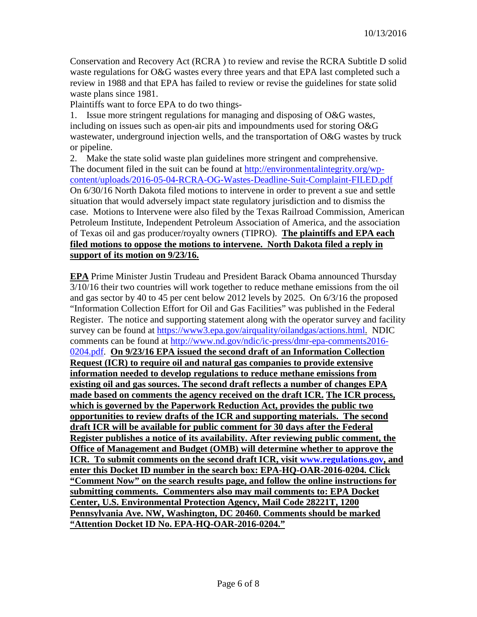Conservation and Recovery Act (RCRA ) to review and revise the RCRA Subtitle D solid waste regulations for O&G wastes every three years and that EPA last completed such a review in 1988 and that EPA has failed to review or revise the guidelines for state solid waste plans since 1981.

Plaintiffs want to force EPA to do two things-

1. Issue more stringent regulations for managing and disposing of O&G wastes, including on issues such as open-air pits and impoundments used for storing O&G wastewater, underground injection wells, and the transportation of O&G wastes by truck or pipeline.

2. Make the state solid waste plan guidelines more stringent and comprehensive. The document filed in the suit can be found at [http://environmentalintegrity.org/wp](http://environmentalintegrity.org/wp-content/uploads/2016-05-04-RCRA-OG-Wastes-Deadline-Suit-Complaint-FILED.pdf)[content/uploads/2016-05-04-RCRA-OG-Wastes-Deadline-Suit-Complaint-FILED.pdf](http://environmentalintegrity.org/wp-content/uploads/2016-05-04-RCRA-OG-Wastes-Deadline-Suit-Complaint-FILED.pdf) On 6/30/16 North Dakota filed motions to intervene in order to prevent a sue and settle situation that would adversely impact state regulatory jurisdiction and to dismiss the case. Motions to Intervene were also filed by the Texas Railroad Commission, American Petroleum Institute, Independent Petroleum Association of America, and the association of Texas oil and gas producer/royalty owners (TIPRO). **The plaintiffs and EPA each filed motions to oppose the motions to intervene. North Dakota filed a reply in support of its motion on 9/23/16.**

**EPA** Prime Minister Justin Trudeau and President Barack Obama announced Thursday 3/10/16 their two countries will work together to reduce methane emissions from the oil and gas sector by 40 to 45 per cent below 2012 levels by 2025. On 6/3/16 the proposed "Information Collection Effort for Oil and Gas Facilities" was published in the Federal Register. The notice and supporting statement along with the operator survey and facility survey can be found at [https://www3.epa.gov/airquality/oilandgas/actions.html.](https://www3.epa.gov/airquality/oilandgas/actions.html) NDIC comments can be found at [http://www.nd.gov/ndic/ic-press/dmr-epa-comments2016-](http://www.nd.gov/ndic/ic-press/dmr-epa-comments2016-0204.pdf) [0204.pdf.](http://www.nd.gov/ndic/ic-press/dmr-epa-comments2016-0204.pdf) **On 9/23/16 EPA issued the second draft of an Information Collection Request (ICR) to require oil and natural gas companies to provide extensive information needed to develop regulations to reduce methane emissions from existing oil and gas sources. The second draft reflects a number of changes EPA made based on comments the agency received on the draft ICR. The ICR process, which is governed by the Paperwork Reduction Act, provides the public two opportunities to review drafts of the ICR and supporting materials. The second draft ICR will be available for public comment for 30 days after the Federal Register publishes a notice of its availability. After reviewing public comment, the Office of Management and Budget (OMB) will determine whether to approve the ICR. To submit comments on the second draft ICR, visit [www.regulations.gov,](http://www.regulations.gov/) and enter this Docket ID number in the search box: EPA-HQ-OAR-2016-0204. Click "Comment Now" on the search results page, and follow the online instructions for submitting comments. Commenters also may mail comments to: EPA Docket Center, U.S. Environmental Protection Agency, Mail Code 28221T, 1200 Pennsylvania Ave. NW, Washington, DC 20460. Comments should be marked "Attention Docket ID No. EPA-HQ-OAR-2016-0204."**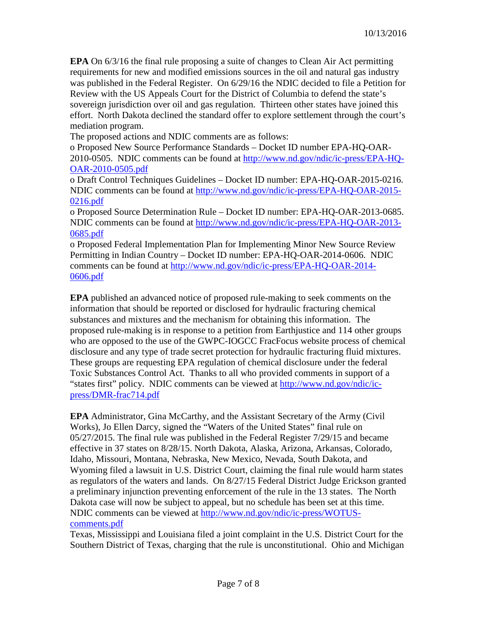**EPA** On 6/3/16 the final rule proposing a suite of changes to Clean Air Act permitting requirements for new and modified emissions sources in the oil and natural gas industry was published in the Federal Register. On 6/29/16 the NDIC decided to file a Petition for Review with the US Appeals Court for the District of Columbia to defend the state's sovereign jurisdiction over oil and gas regulation. Thirteen other states have joined this effort. North Dakota declined the standard offer to explore settlement through the court's mediation program.

The proposed actions and NDIC comments are as follows:

o Proposed New Source Performance Standards – Docket ID number EPA-HQ-OAR-2010-0505. NDIC comments can be found at [http://www.nd.gov/ndic/ic-press/EPA-HQ-](http://www.nd.gov/ndic/ic-press/EPA-HQ-OAR-2010-0505.pdf)[OAR-2010-0505.pdf](http://www.nd.gov/ndic/ic-press/EPA-HQ-OAR-2010-0505.pdf)

o Draft Control Techniques Guidelines – Docket ID number: EPA-HQ-OAR-2015-0216. NDIC comments can be found at [http://www.nd.gov/ndic/ic-press/EPA-HQ-OAR-2015-](http://www.nd.gov/ndic/ic-press/EPA-HQ-OAR-2015-0216.pdf) [0216.pdf](http://www.nd.gov/ndic/ic-press/EPA-HQ-OAR-2015-0216.pdf)

o Proposed Source Determination Rule – Docket ID number: EPA-HQ-OAR-2013-0685. NDIC comments can be found at [http://www.nd.gov/ndic/ic-press/EPA-HQ-OAR-2013-](http://www.nd.gov/ndic/ic-press/EPA-HQ-OAR-2013-0685.pdf) [0685.pdf](http://www.nd.gov/ndic/ic-press/EPA-HQ-OAR-2013-0685.pdf)

o Proposed Federal Implementation Plan for Implementing Minor New Source Review Permitting in Indian Country – Docket ID number: EPA-HQ-OAR-2014-0606. NDIC comments can be found at [http://www.nd.gov/ndic/ic-press/EPA-HQ-OAR-2014-](http://www.nd.gov/ndic/ic-press/EPA-HQ-OAR-2014-0606.pdf) [0606.pdf](http://www.nd.gov/ndic/ic-press/EPA-HQ-OAR-2014-0606.pdf)

**EPA** published an advanced notice of proposed rule-making to seek comments on the information that should be reported or disclosed for hydraulic fracturing chemical substances and mixtures and the mechanism for obtaining this information. The proposed rule-making is in response to a petition from Earthjustice and 114 other groups who are opposed to the use of the GWPC-IOGCC FracFocus website process of chemical disclosure and any type of trade secret protection for hydraulic fracturing fluid mixtures. These groups are requesting EPA regulation of chemical disclosure under the federal Toxic Substances Control Act. Thanks to all who provided comments in support of a "states first" policy. NDIC comments can be viewed at [http://www.nd.gov/ndic/ic](http://www.nd.gov/ndic/ic-press/DMR-frac714.pdf)[press/DMR-frac714.pdf](http://www.nd.gov/ndic/ic-press/DMR-frac714.pdf)

**EPA** Administrator, Gina McCarthy, and the Assistant Secretary of the Army (Civil Works), Jo Ellen Darcy, signed the "Waters of the United States" final rule on 05/27/2015. The final rule was published in the Federal Register 7/29/15 and became effective in 37 states on 8/28/15. North Dakota, Alaska, Arizona, Arkansas, Colorado, Idaho, Missouri, Montana, Nebraska, New Mexico, Nevada, South Dakota, and Wyoming filed a lawsuit in U.S. District Court, claiming the final rule would harm states as regulators of the waters and lands. On 8/27/15 Federal District Judge Erickson granted a preliminary injunction preventing enforcement of the rule in the 13 states. The North Dakota case will now be subject to appeal, but no schedule has been set at this time. NDIC comments can be viewed at [http://www.nd.gov/ndic/ic-press/WOTUS](http://www.nd.gov/ndic/ic-press/WOTUS-comments.pdf)[comments.pdf](http://www.nd.gov/ndic/ic-press/WOTUS-comments.pdf)

Texas, Mississippi and Louisiana filed a joint complaint in the U.S. District Court for the Southern District of Texas, charging that the rule is unconstitutional. Ohio and Michigan